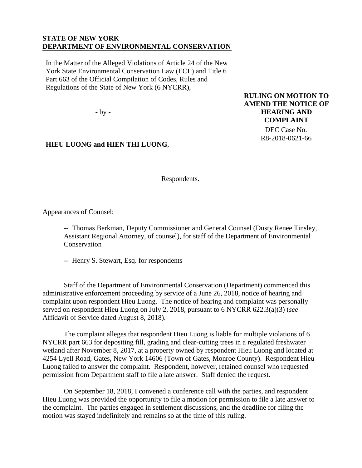## **STATE OF NEW YORK DEPARTMENT OF ENVIRONMENTAL CONSERVATION**

In the Matter of the Alleged Violations of Article 24 of the New York State Environmental Conservation Law (ECL) and Title 6 Part 663 of the Official Compilation of Codes, Rules and Regulations of the State of New York (6 NYCRR),

- by -

**HIEU LUONG and HIEN THI LUONG**,

**RULING ON MOTION TO AMEND THE NOTICE OF HEARING AND COMPLAINT**

> DEC Case No. R8-2018-0621-66

Respondents.

Appearances of Counsel:

-- Thomas Berkman, Deputy Commissioner and General Counsel (Dusty Renee Tinsley, Assistant Regional Attorney, of counsel), for staff of the Department of Environmental **Conservation** 

-- Henry S. Stewart, Esq. for respondents

Staff of the Department of Environmental Conservation (Department) commenced this administrative enforcement proceeding by service of a June 26, 2018, notice of hearing and complaint upon respondent Hieu Luong. The notice of hearing and complaint was personally served on respondent Hieu Luong on July 2, 2018, pursuant to 6 NYCRR 622.3(a)(3) (*see* Affidavit of Service dated August 8, 2018).

The complaint alleges that respondent Hieu Luong is liable for multiple violations of 6 NYCRR part 663 for depositing fill, grading and clear-cutting trees in a regulated freshwater wetland after November 8, 2017, at a property owned by respondent Hieu Luong and located at 4254 Lyell Road, Gates, New York 14606 (Town of Gates, Monroe County). Respondent Hieu Luong failed to answer the complaint. Respondent, however, retained counsel who requested permission from Department staff to file a late answer. Staff denied the request.

On September 18, 2018, I convened a conference call with the parties, and respondent Hieu Luong was provided the opportunity to file a motion for permission to file a late answer to the complaint. The parties engaged in settlement discussions, and the deadline for filing the motion was stayed indefinitely and remains so at the time of this ruling.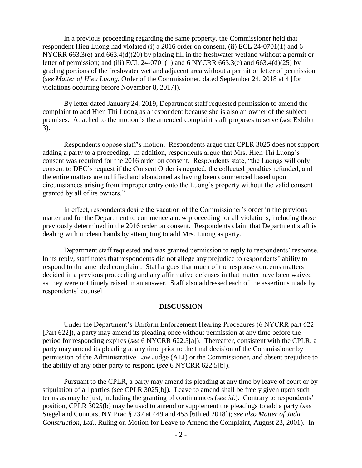In a previous proceeding regarding the same property, the Commissioner held that respondent Hieu Luong had violated (i) a 2016 order on consent, (ii) ECL 24-0701(1) and 6 NYCRR 663.3(e) and 663.4(d)(20) by placing fill in the freshwater wetland without a permit or letter of permission; and (iii) ECL 24-0701(1) and 6 NYCRR 663.3(e) and 663.4(d)(25) by grading portions of the freshwater wetland adjacent area without a permit or letter of permission (*see Matter of Hieu Luong*, Order of the Commissioner, dated September 24, 2018 at 4 [for violations occurring before November 8, 2017]).

By letter dated January 24, 2019, Department staff requested permission to amend the complaint to add Hien Thi Luong as a respondent because she is also an owner of the subject premises. Attached to the motion is the amended complaint staff proposes to serve (*see* Exhibit 3).

Respondents oppose staff's motion. Respondents argue that CPLR 3025 does not support adding a party to a proceeding. In addition, respondents argue that Mrs. Hien Thi Luong's consent was required for the 2016 order on consent. Respondents state, "the Luongs will only consent to DEC's request if the Consent Order is negated, the collected penalties refunded, and the entire matters are nullified and abandoned as having been commenced based upon circumstances arising from improper entry onto the Luong's property without the valid consent granted by all of its owners."

In effect, respondents desire the vacation of the Commissioner's order in the previous matter and for the Department to commence a new proceeding for all violations, including those previously determined in the 2016 order on consent. Respondents claim that Department staff is dealing with unclean hands by attempting to add Mrs. Luong as party.

Department staff requested and was granted permission to reply to respondents' response. In its reply, staff notes that respondents did not allege any prejudice to respondents' ability to respond to the amended complaint. Staff argues that much of the response concerns matters decided in a previous proceeding and any affirmative defenses in that matter have been waived as they were not timely raised in an answer. Staff also addressed each of the assertions made by respondents' counsel.

## **DISCUSSION**

Under the Department's Uniform Enforcement Hearing Procedures (6 NYCRR part 622 [Part 622]), a party may amend its pleading once without permission at any time before the period for responding expires (*see* 6 NYCRR 622.5[a]). Thereafter, consistent with the CPLR, a party may amend its pleading at any time prior to the final decision of the Commissioner by permission of the Administrative Law Judge (ALJ) or the Commissioner, and absent prejudice to the ability of any other party to respond (*see* 6 NYCRR 622.5[b]).

Pursuant to the CPLR, a party may amend its pleading at any time by leave of court or by stipulation of all parties (*see* CPLR 3025[b]). Leave to amend shall be freely given upon such terms as may be just, including the granting of continuances (*see id.*). Contrary to respondents' position, CPLR 3025(b) may be used to amend or supplement the pleadings to add a party (*see* Siegel and Connors, NY Prac § 237 at 449 and 453 [6th ed 2018]); *see also Matter of Juda Construction, Ltd.*, Ruling on Motion for Leave to Amend the Complaint, August 23, 2001). In